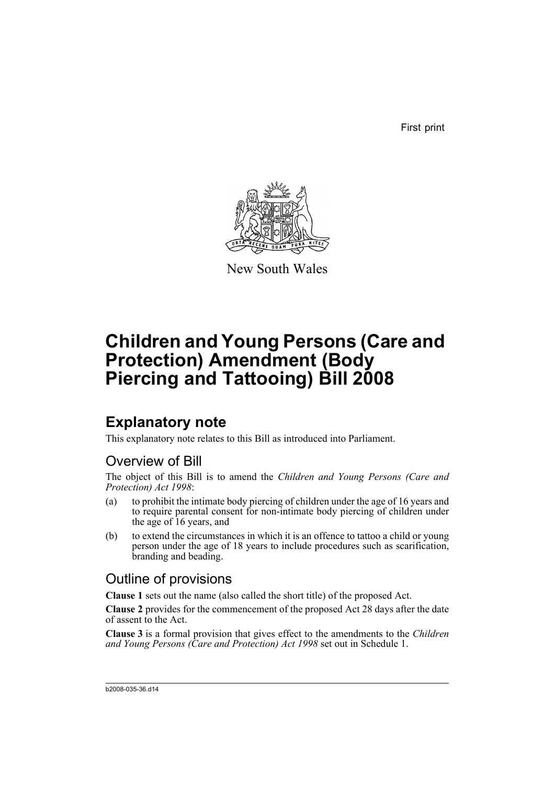First print



New South Wales

# **Children and Young Persons (Care and Protection) Amendment (Body Piercing and Tattooing) Bill 2008**

# **Explanatory note**

This explanatory note relates to this Bill as introduced into Parliament.

## Overview of Bill

The object of this Bill is to amend the *Children and Young Persons (Care and Protection) Act 1998*:

- (a) to prohibit the intimate body piercing of children under the age of 16 years and to require parental consent for non-intimate body piercing of children under the age of 16 years, and
- (b) to extend the circumstances in which it is an offence to tattoo a child or young person under the age of 18 years to include procedures such as scarification, branding and beading.

## Outline of provisions

**Clause 1** sets out the name (also called the short title) of the proposed Act.

**Clause 2** provides for the commencement of the proposed Act 28 days after the date of assent to the Act.

**Clause 3** is a formal provision that gives effect to the amendments to the *Children and Young Persons (Care and Protection) Act 1998* set out in Schedule 1.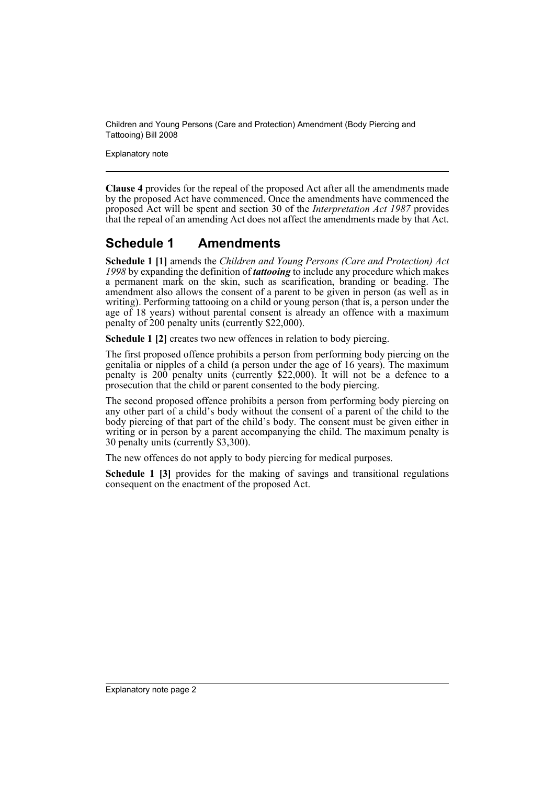Children and Young Persons (Care and Protection) Amendment (Body Piercing and Tattooing) Bill 2008

Explanatory note

**Clause 4** provides for the repeal of the proposed Act after all the amendments made by the proposed Act have commenced. Once the amendments have commenced the proposed Act will be spent and section 30 of the *Interpretation Act 1987* provides that the repeal of an amending Act does not affect the amendments made by that Act.

## **Schedule 1 Amendments**

**Schedule 1 [1]** amends the *Children and Young Persons (Care and Protection) Act 1998* by expanding the definition of *tattooing* to include any procedure which makes a permanent mark on the skin, such as scarification, branding or beading. The amendment also allows the consent of a parent to be given in person (as well as in writing). Performing tattooing on a child or young person (that is, a person under the age of 18 years) without parental consent is already an offence with a maximum penalty of 200 penalty units (currently \$22,000).

**Schedule 1 [2]** creates two new offences in relation to body piercing.

The first proposed offence prohibits a person from performing body piercing on the genitalia or nipples of a child (a person under the age of 16 years). The maximum penalty is 200 penalty units (currently \$22,000). It will not be a defence to a prosecution that the child or parent consented to the body piercing.

The second proposed offence prohibits a person from performing body piercing on any other part of a child's body without the consent of a parent of the child to the body piercing of that part of the child's body. The consent must be given either in writing or in person by a parent accompanying the child. The maximum penalty is 30 penalty units (currently \$3,300).

The new offences do not apply to body piercing for medical purposes.

**Schedule 1 [3]** provides for the making of savings and transitional regulations consequent on the enactment of the proposed Act.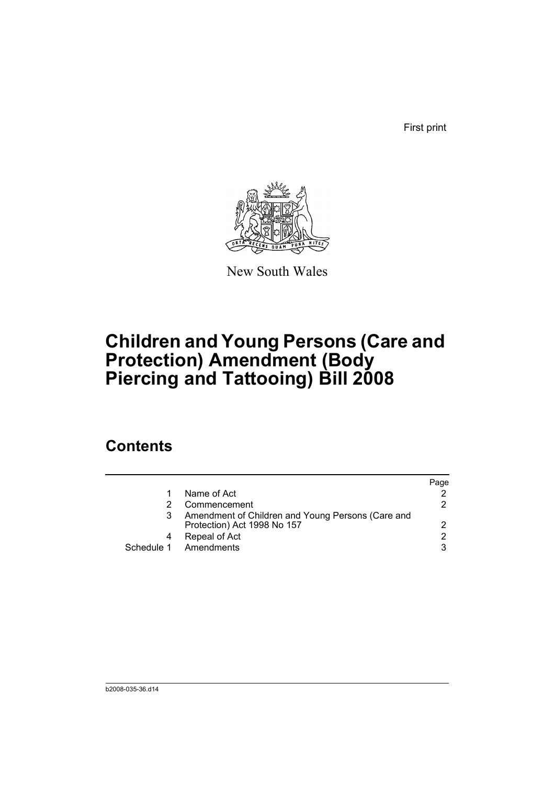First print



New South Wales

# **Children and Young Persons (Care and Protection) Amendment (Body Piercing and Tattooing) Bill 2008**

# **Contents**

|                                                                                  | Page          |
|----------------------------------------------------------------------------------|---------------|
| Name of Act                                                                      |               |
| Commencement                                                                     | 2.            |
| Amendment of Children and Young Persons (Care and<br>Protection) Act 1998 No 157 | 2             |
| Repeal of Act                                                                    | $\mathcal{P}$ |
| Schedule 1 Amendments                                                            | 3             |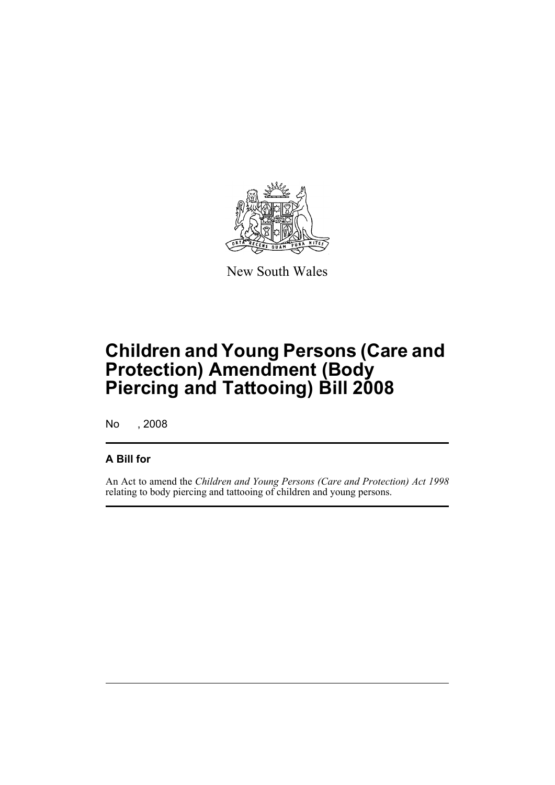

New South Wales

# **Children and Young Persons (Care and Protection) Amendment (Body Piercing and Tattooing) Bill 2008**

No , 2008

#### **A Bill for**

An Act to amend the *Children and Young Persons (Care and Protection) Act 1998* relating to body piercing and tattooing of children and young persons.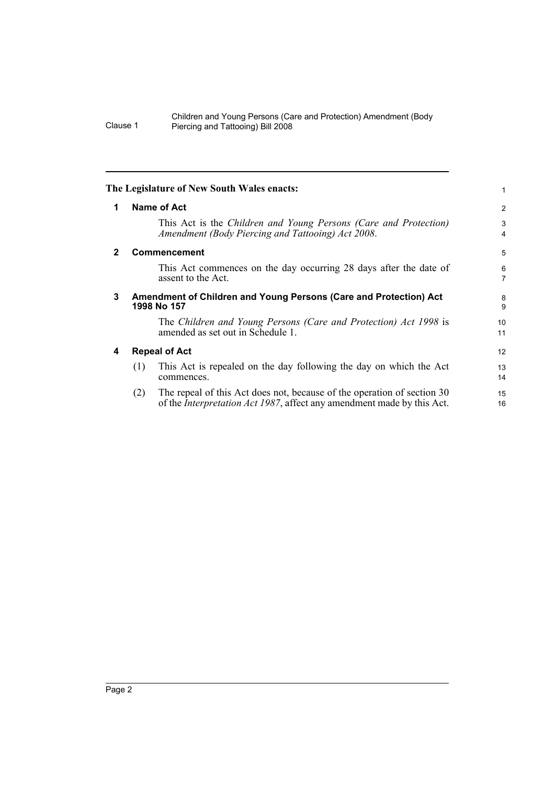#### Children and Young Persons (Care and Protection) Amendment (Body Clause 1 Piercing and Tattooing) Bill 2008

<span id="page-5-3"></span><span id="page-5-2"></span><span id="page-5-1"></span><span id="page-5-0"></span>

| 2<br>3              |
|---------------------|
|                     |
| $\overline{4}$      |
| 5                   |
| 6<br>$\overline{7}$ |
| 8<br>9              |
| 10<br>11            |
| 12                  |
| 13<br>14            |
| 15<br>16            |
|                     |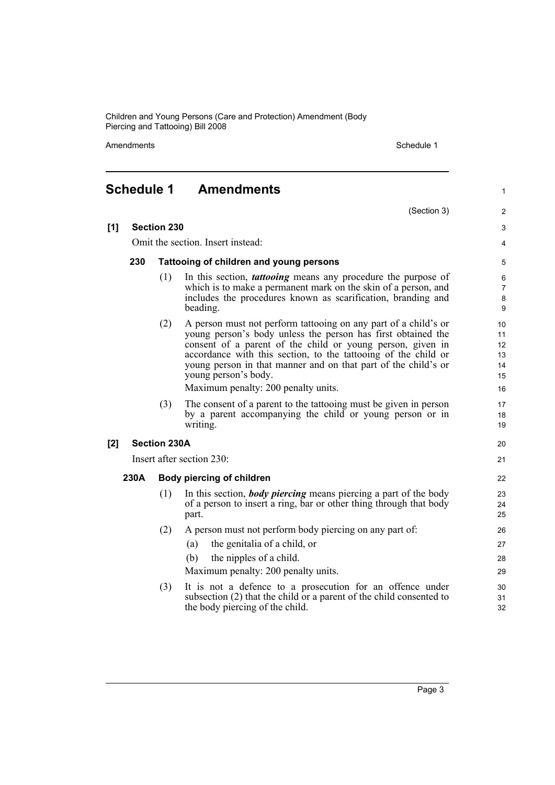Children and Young Persons (Care and Protection) Amendment (Body Piercing and Tattooing) Bill 2008

Amendments Schedule 1

1

### <span id="page-6-0"></span>**Schedule 1 Amendments**

|      |                                   |                     | (Section 3)                                                                                                                                                                                                                                                                                                                                                                                      | 2                                      |
|------|-----------------------------------|---------------------|--------------------------------------------------------------------------------------------------------------------------------------------------------------------------------------------------------------------------------------------------------------------------------------------------------------------------------------------------------------------------------------------------|----------------------------------------|
| [1]  |                                   | <b>Section 230</b>  |                                                                                                                                                                                                                                                                                                                                                                                                  | 3                                      |
|      | Omit the section. Insert instead: |                     |                                                                                                                                                                                                                                                                                                                                                                                                  |                                        |
|      | 230                               |                     | Tattooing of children and young persons                                                                                                                                                                                                                                                                                                                                                          | 5                                      |
|      |                                   | (1)                 | In this section, <i>tattooing</i> means any procedure the purpose of<br>which is to make a permanent mark on the skin of a person, and<br>includes the procedures known as scarification, branding and<br>beading.                                                                                                                                                                               | 6<br>$\overline{7}$<br>8<br>9          |
|      |                                   | (2)                 | A person must not perform tattooing on any part of a child's or<br>young person's body unless the person has first obtained the<br>consent of a parent of the child or young person, given in<br>accordance with this section, to the tattooing of the child or<br>young person in that manner and on that part of the child's or<br>young person's body.<br>Maximum penalty: 200 penalty units. | 10<br>11<br>12<br>13<br>14<br>15<br>16 |
|      |                                   | (3)                 | The consent of a parent to the tattooing must be given in person<br>by a parent accompanying the child or young person or in<br>writing.                                                                                                                                                                                                                                                         | 17<br>18<br>19                         |
| [2]  |                                   | <b>Section 230A</b> |                                                                                                                                                                                                                                                                                                                                                                                                  | 20                                     |
|      | Insert after section 230:         |                     | 21                                                                                                                                                                                                                                                                                                                                                                                               |                                        |
| 230A |                                   |                     | Body piercing of children                                                                                                                                                                                                                                                                                                                                                                        | 22                                     |
|      |                                   | (1)                 | In this section, <b>body piercing</b> means piercing a part of the body<br>of a person to insert a ring, bar or other thing through that body<br>part.                                                                                                                                                                                                                                           | 23<br>24<br>25                         |
|      |                                   | (2)                 | A person must not perform body piercing on any part of:<br>the genitalia of a child, or<br>(a)<br>(b)<br>the nipples of a child.                                                                                                                                                                                                                                                                 | 26<br>27<br>28                         |
|      |                                   | (3)                 | Maximum penalty: 200 penalty units.<br>It is not a defence to a prosecution for an offence under<br>subsection (2) that the child or a parent of the child consented to<br>the body piercing of the child.                                                                                                                                                                                       | 29<br>30<br>31<br>32                   |